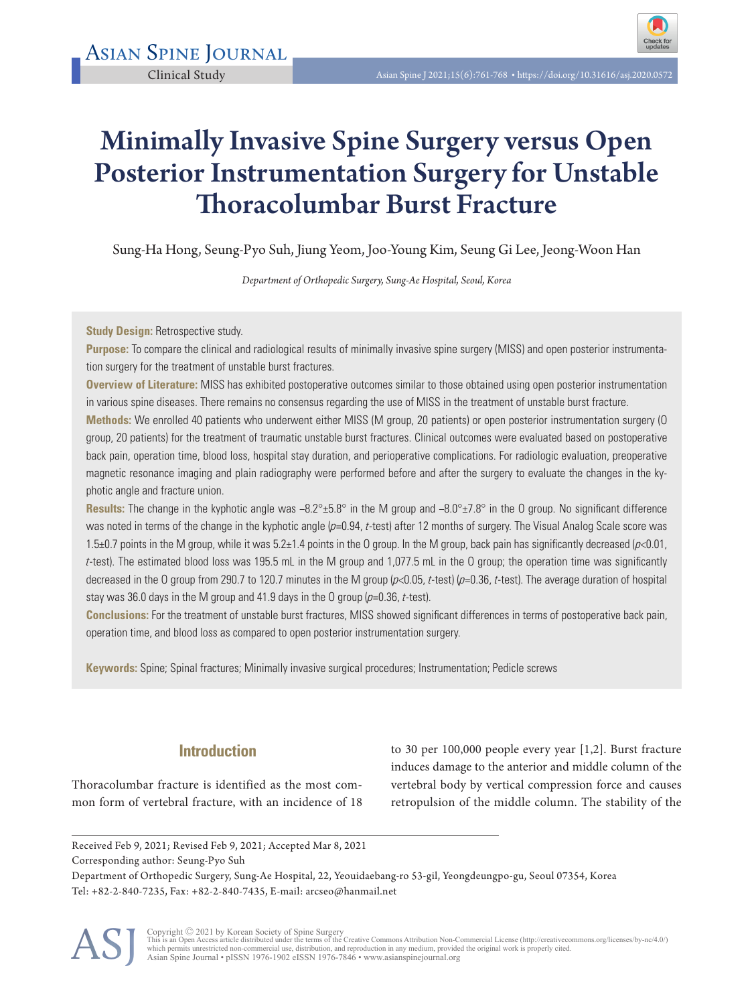# Minimally Invasive Spine Surgery versus Open Posterior Instrumentation Surgery for Unstable Thoracolumbar Burst Fracture

Sung-Ha Hong, Seung-Pyo Suh, Jiung Yeom, Joo-Young Kim, Seung Gi Lee, Jeong-Woon Han

*Department of Orthopedic Surgery, Sung-Ae Hospital, Seoul, Korea* 

**Study Design: Retrospective study.** 

**Purpose:** To compare the clinical and radiological results of minimally invasive spine surgery (MISS) and open posterior instrumentation surgery for the treatment of unstable burst fractures.

**Overview of Literature:** MISS has exhibited postoperative outcomes similar to those obtained using open posterior instrumentation in various spine diseases. There remains no consensus regarding the use of MISS in the treatment of unstable burst fracture.

**Methods:** We enrolled 40 patients who underwent either MISS (M group, 20 patients) or open posterior instrumentation surgery (O group, 20 patients) for the treatment of traumatic unstable burst fractures. Clinical outcomes were evaluated based on postoperative back pain, operation time, blood loss, hospital stay duration, and perioperative complications. For radiologic evaluation, preoperative magnetic resonance imaging and plain radiography were performed before and after the surgery to evaluate the changes in the kyphotic angle and fracture union.

**Results:** The change in the kyphotic angle was −8.2°±5.8° in the M group and −8.0°±7.8° in the O group. No significant difference was noted in terms of the change in the kyphotic angle (p=0.94, t-test) after 12 months of surgery. The Visual Analog Scale score was 1.5 $\pm$ 0.7 points in the M group, while it was 5.2 $\pm$ 1.4 points in the O group. In the M group, back pain has significantly decreased ( $p$ <0.01, <sup>t</sup>-test). The estimated blood loss was 195.5 mL in the M group and 1,077.5 mL in the O group; the operation time was significantly decreased in the O group from 290.7 to 120.7 minutes in the M group  $(p<0.05, t$ -test) ( $p=0.36, t$ -test). The average duration of hospital stay was 36.0 days in the M group and 41.9 days in the O group  $(p=0.36, t-test)$ .

**Conclusions:** For the treatment of unstable burst fractures, MISS showed significant differences in terms of postoperative back pain, operation time, and blood loss as compared to open posterior instrumentation surgery.

**Keywords:** Spine; Spinal fractures; Minimally invasive surgical procedures; Instrumentation; Pedicle screws

# **Introduction**

Thoracolumbar fracture is identified as the most common form of vertebral fracture, with an incidence of 18

to 30 per 100,000 people every year [1,2]. Burst fracture induces damage to the anterior and middle column of the vertebral body by vertical compression force and causes retropulsion of the middle column. The stability of the

Corresponding author: Seung-Pyo Suh

Department of Orthopedic Surgery, Sung-Ae Hospital, 22, Yeouidaebang-ro 53-gil, Yeongdeungpo-gu, Seoul 07354, Korea Tel: +82-2-840-7235, Fax: +82-2-840-7435, E-mail: arcseo@hanmail.net



Copyright © 2021 by Korean Society of Spine Surgery<br>This is an Open Access article distributed under the terms of the Creative Commons Attribution Non-Commercial License (http://creativecommons.org/licenses/by-nc/4.0/)<br>whi

Received Feb 9, 2021; Revised Feb 9, 2021; Accepted Mar 8, 2021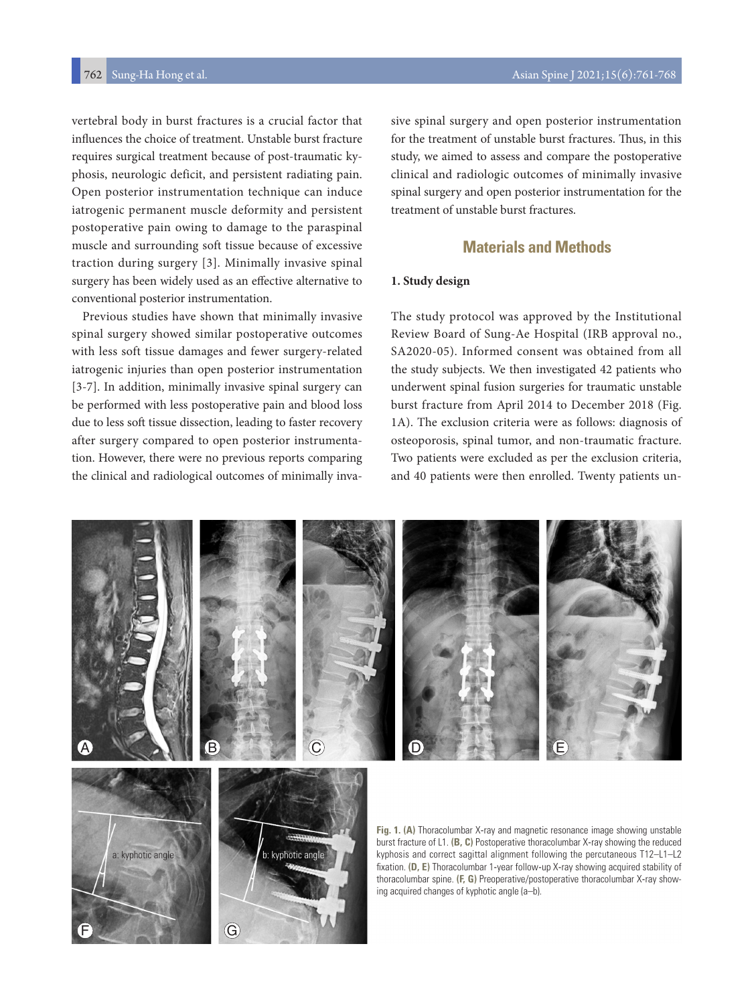vertebral body in burst fractures is a crucial factor that influences the choice of treatment. Unstable burst fracture requires surgical treatment because of post-traumatic kyphosis, neurologic deficit, and persistent radiating pain. Open posterior instrumentation technique can induce iatrogenic permanent muscle deformity and persistent postoperative pain owing to damage to the paraspinal muscle and surrounding soft tissue because of excessive traction during surgery [3]. Minimally invasive spinal surgery has been widely used as an effective alternative to conventional posterior instrumentation.

Previous studies have shown that minimally invasive spinal surgery showed similar postoperative outcomes with less soft tissue damages and fewer surgery-related iatrogenic injuries than open posterior instrumentation [3-7]. In addition, minimally invasive spinal surgery can be performed with less postoperative pain and blood loss due to less soft tissue dissection, leading to faster recovery after surgery compared to open posterior instrumentation. However, there were no previous reports comparing the clinical and radiological outcomes of minimally inva-

F G

sive spinal surgery and open posterior instrumentation for the treatment of unstable burst fractures. Thus, in this study, we aimed to assess and compare the postoperative clinical and radiologic outcomes of minimally invasive spinal surgery and open posterior instrumentation for the treatment of unstable burst fractures.

# **Materials and Methods**

#### **1. Study design**

The study protocol was approved by the Institutional Review Board of Sung-Ae Hospital (IRB approval no., SA2020-05). Informed consent was obtained from all the study subjects. We then investigated 42 patients who underwent spinal fusion surgeries for traumatic unstable burst fracture from April 2014 to December 2018 (Fig. 1A). The exclusion criteria were as follows: diagnosis of osteoporosis, spinal tumor, and non-traumatic fracture. Two patients were excluded as per the exclusion criteria, and 40 patients were then enrolled. Twenty patients un-

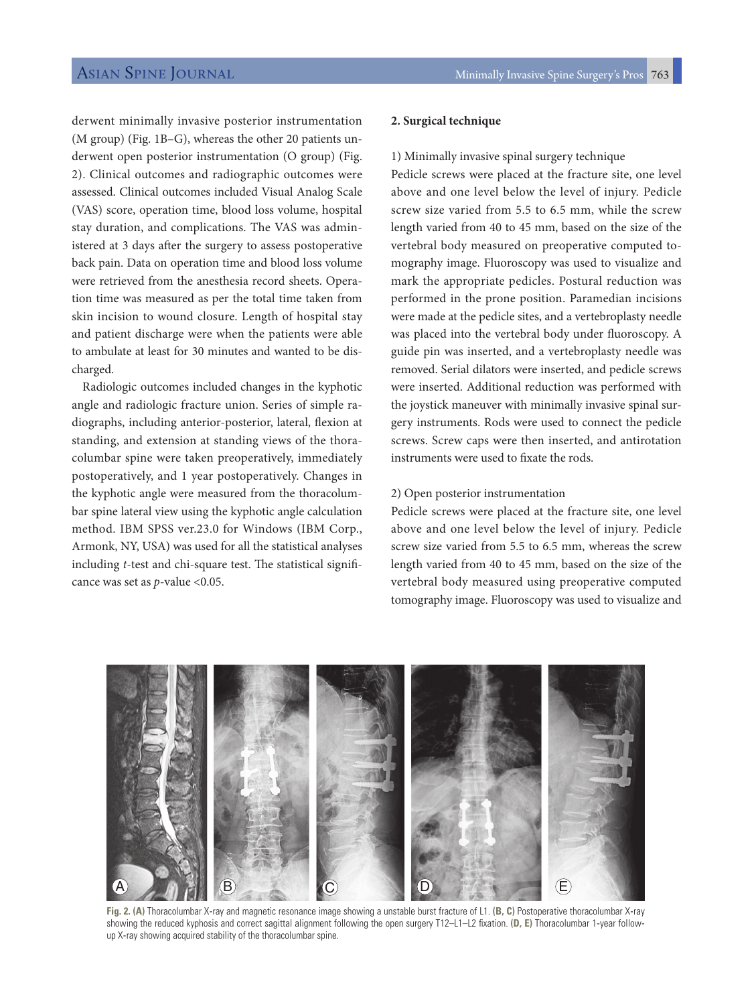derwent minimally invasive posterior instrumentation (M group) (Fig. 1B–G), whereas the other 20 patients underwent open posterior instrumentation (O group) (Fig. 2). Clinical outcomes and radiographic outcomes were assessed. Clinical outcomes included Visual Analog Scale (VAS) score, operation time, blood loss volume, hospital stay duration, and complications. The VAS was administered at 3 days after the surgery to assess postoperative back pain. Data on operation time and blood loss volume were retrieved from the anesthesia record sheets. Operation time was measured as per the total time taken from skin incision to wound closure. Length of hospital stay and patient discharge were when the patients were able to ambulate at least for 30 minutes and wanted to be discharged.

Radiologic outcomes included changes in the kyphotic angle and radiologic fracture union. Series of simple radiographs, including anterior-posterior, lateral, flexion at standing, and extension at standing views of the thoracolumbar spine were taken preoperatively, immediately postoperatively, and 1 year postoperatively. Changes in the kyphotic angle were measured from the thoracolumbar spine lateral view using the kyphotic angle calculation method. IBM SPSS ver.23.0 for Windows (IBM Corp., Armonk, NY, USA) was used for all the statistical analyses including *t*-test and chi-square test. The statistical significance was set as *p*-value <0.05.

#### **2. Surgical technique**

#### 1) Minimally invasive spinal surgery technique

Pedicle screws were placed at the fracture site, one level above and one level below the level of injury. Pedicle screw size varied from 5.5 to 6.5 mm, while the screw length varied from 40 to 45 mm, based on the size of the vertebral body measured on preoperative computed tomography image. Fluoroscopy was used to visualize and mark the appropriate pedicles. Postural reduction was performed in the prone position. Paramedian incisions were made at the pedicle sites, and a vertebroplasty needle was placed into the vertebral body under fluoroscopy. A guide pin was inserted, and a vertebroplasty needle was removed. Serial dilators were inserted, and pedicle screws were inserted. Additional reduction was performed with the joystick maneuver with minimally invasive spinal surgery instruments. Rods were used to connect the pedicle screws. Screw caps were then inserted, and antirotation instruments were used to fixate the rods.

#### 2) Open posterior instrumentation

Pedicle screws were placed at the fracture site, one level above and one level below the level of injury. Pedicle screw size varied from 5.5 to 6.5 mm, whereas the screw length varied from 40 to 45 mm, based on the size of the vertebral body measured using preoperative computed tomography image. Fluoroscopy was used to visualize and



**Fig. 2. (A)** Thoracolumbar X-ray and magnetic resonance image showing a unstable burst fracture of L1. **(B, C)** Postoperative thoracolumbar X-ray showing the reduced kyphosis and correct sagittal alignment following the open surgery T12–L1–L2 fixation. **(D, E)** Thoracolumbar 1-year followup X-ray showing acquired stability of the thoracolumbar spine.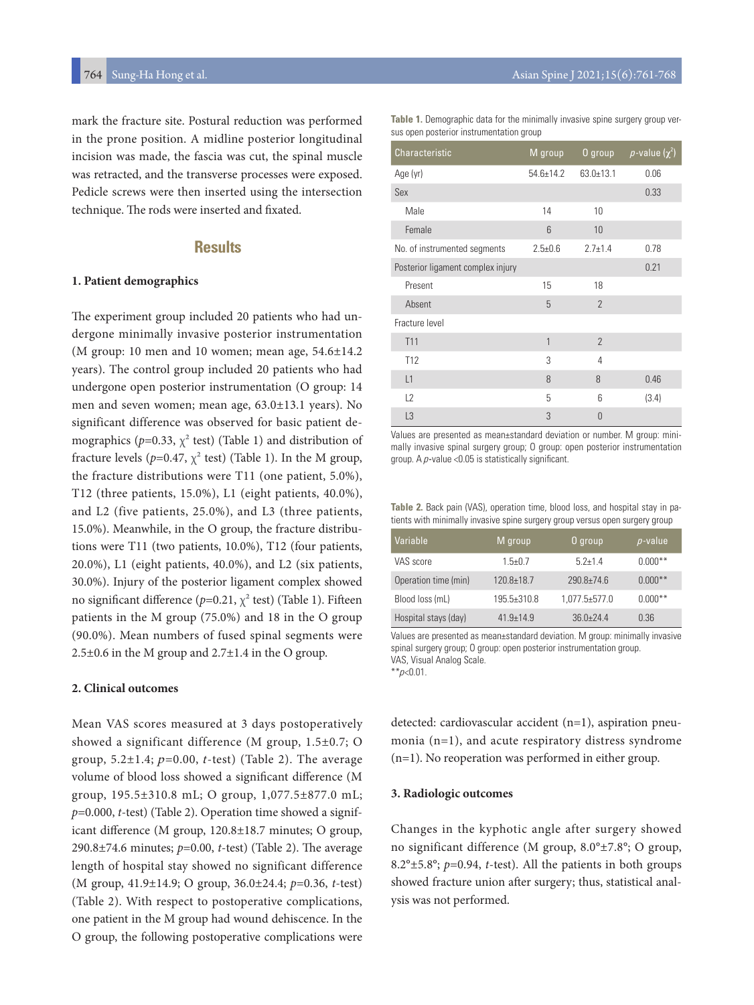mark the fracture site. Postural reduction was performed in the prone position. A midline posterior longitudinal incision was made, the fascia was cut, the spinal muscle was retracted, and the transverse processes were exposed. Pedicle screws were then inserted using the intersection technique. The rods were inserted and fixated.

## **Results**

#### **1. Patient demographics**

The experiment group included 20 patients who had undergone minimally invasive posterior instrumentation (M group: 10 men and 10 women; mean age, 54.6±14.2 years). The control group included 20 patients who had undergone open posterior instrumentation (O group: 14 men and seven women; mean age, 63.0±13.1 years). No significant difference was observed for basic patient demographics ( $p=0.33$ ,  $\chi^2$  test) (Table 1) and distribution of fracture levels ( $p=0.47$ ,  $\chi^2$  test) (Table 1). In the M group, the fracture distributions were T11 (one patient, 5.0%), T12 (three patients, 15.0%), L1 (eight patients, 40.0%), and L2 (five patients, 25.0%), and L3 (three patients, 15.0%). Meanwhile, in the O group, the fracture distributions were T11 (two patients, 10.0%), T12 (four patients, 20.0%), L1 (eight patients, 40.0%), and L2 (six patients, 30.0%). Injury of the posterior ligament complex showed no significant difference ( $p=0.21$ ,  $\chi^2$  test) (Table 1). Fifteen patients in the M group (75.0%) and 18 in the O group (90.0%). Mean numbers of fused spinal segments were  $2.5\pm0.6$  in the M group and  $2.7\pm1.4$  in the O group.

#### **2. Clinical outcomes**

Mean VAS scores measured at 3 days postoperatively showed a significant difference (M group, 1.5±0.7; O group,  $5.2 \pm 1.4$ ;  $p=0.00$ ,  $t$ -test) (Table 2). The average volume of blood loss showed a significant difference (M group, 195.5±310.8 mL; O group, 1,077.5±877.0 mL; *p*=0.000, *t*-test) (Table 2). Operation time showed a significant difference (M group, 120.8±18.7 minutes; O group, 290.8±74.6 minutes; *p*=0.00, *t*-test) (Table 2). The average length of hospital stay showed no significant difference (M group, 41.9±14.9; O group, 36.0±24.4; *p*=0.36, *t*-test) (Table 2). With respect to postoperative complications, one patient in the M group had wound dehiscence. In the O group, the following postoperative complications were

Table 1. Demographic data for the minimally invasive spine surgery group versus open posterior instrumentation group

| <b>Characteristic</b>             | M group         |                 | O group $p$ -value $(\chi^2)$ |
|-----------------------------------|-----------------|-----------------|-------------------------------|
| Age (yr)                          | $54.6 \pm 14.2$ | $63.0 \pm 13.1$ | 0.06                          |
| Sex                               |                 |                 | 0.33                          |
| Male                              | 14              | 10              |                               |
| Female                            | 6               | 10              |                               |
| No. of instrumented segments      | $2.5 \pm 0.6$   | $2.7 \pm 1.4$   | 0.78                          |
| Posterior ligament complex injury |                 |                 | 0.21                          |
| Present                           | 15              | 18              |                               |
| Absent                            | 5               | $\overline{2}$  |                               |
| Fracture level                    |                 |                 |                               |
| T <sub>11</sub>                   | 1               | $\overline{2}$  |                               |
| T <sub>12</sub>                   | 3               | 4               |                               |
| L1                                | 8               | 8               | 0.46                          |
| L2                                | 5               | 6               | (3.4)                         |
| L <sub>3</sub>                    | 3               | 0               |                               |

Values are presented as mean±standard deviation or number. M group: minimally invasive spinal surgery group; O group: open posterior instrumentation group. A  $p$ -value <0.05 is statistically significant.

**Table 2.** Back pain (VAS), operation time, blood loss, and hospital stay in patients with minimally invasive spine surgery group versus open surgery group

| Variable             | M group         | 0 group             | $p$ -value |
|----------------------|-----------------|---------------------|------------|
| VAS score            | $1.5 + 0.7$     | $5.2 + 1.4$         | $0.000**$  |
| Operation time (min) | $120.8 + 18.7$  | $290.8 + 74.6$      | $0.000**$  |
| Blood loss (mL)      | $195.5 + 310.8$ | $1,077.5 \pm 577.0$ | $0.000**$  |
| Hospital stays (day) | $419+149$       | $36.0 + 24.4$       | 0.36       |

Values are presented as mean±standard deviation. M group: minimally invasive spinal surgery group; O group: open posterior instrumentation group. VAS, Visual Analog Scale.

 $*$ <sub>p</sub> $<$ 0.01.

detected: cardiovascular accident (n=1), aspiration pneumonia (n=1), and acute respiratory distress syndrome (n=1). No reoperation was performed in either group.

#### **3. Radiologic outcomes**

Changes in the kyphotic angle after surgery showed no significant difference (M group, 8.0°±7.8°; O group, 8.2°±5.8°; *p*=0.94, *t*-test). All the patients in both groups showed fracture union after surgery; thus, statistical analysis was not performed.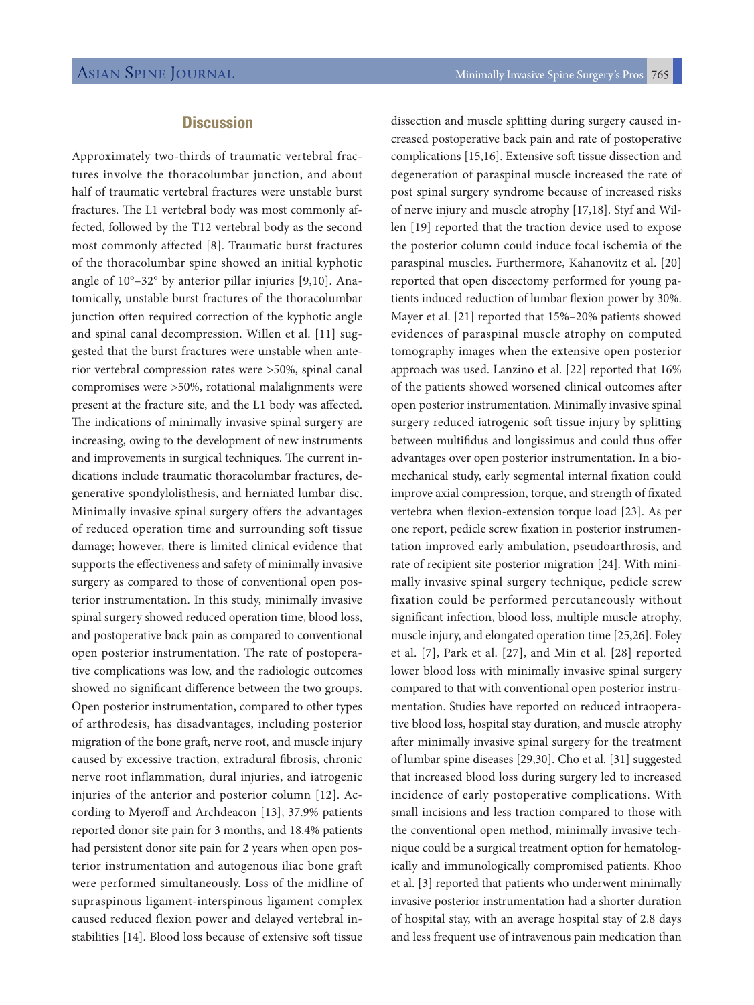# **Discussion**

Approximately two-thirds of traumatic vertebral fractures involve the thoracolumbar junction, and about half of traumatic vertebral fractures were unstable burst fractures. The L1 vertebral body was most commonly affected, followed by the T12 vertebral body as the second most commonly affected [8]. Traumatic burst fractures of the thoracolumbar spine showed an initial kyphotic angle of 10°–32° by anterior pillar injuries [9,10]. Anatomically, unstable burst fractures of the thoracolumbar junction often required correction of the kyphotic angle and spinal canal decompression. Willen et al. [11] suggested that the burst fractures were unstable when anterior vertebral compression rates were >50%, spinal canal compromises were >50%, rotational malalignments were present at the fracture site, and the L1 body was affected. The indications of minimally invasive spinal surgery are increasing, owing to the development of new instruments and improvements in surgical techniques. The current indications include traumatic thoracolumbar fractures, degenerative spondylolisthesis, and herniated lumbar disc. Minimally invasive spinal surgery offers the advantages of reduced operation time and surrounding soft tissue damage; however, there is limited clinical evidence that supports the effectiveness and safety of minimally invasive surgery as compared to those of conventional open posterior instrumentation. In this study, minimally invasive spinal surgery showed reduced operation time, blood loss, and postoperative back pain as compared to conventional open posterior instrumentation. The rate of postoperative complications was low, and the radiologic outcomes showed no significant difference between the two groups. Open posterior instrumentation, compared to other types of arthrodesis, has disadvantages, including posterior migration of the bone graft, nerve root, and muscle injury caused by excessive traction, extradural fibrosis, chronic nerve root inflammation, dural injuries, and iatrogenic injuries of the anterior and posterior column [12]. According to Myeroff and Archdeacon [13], 37.9% patients reported donor site pain for 3 months, and 18.4% patients had persistent donor site pain for 2 years when open posterior instrumentation and autogenous iliac bone graft were performed simultaneously. Loss of the midline of supraspinous ligament-interspinous ligament complex caused reduced flexion power and delayed vertebral instabilities [14]. Blood loss because of extensive soft tissue

dissection and muscle splitting during surgery caused increased postoperative back pain and rate of postoperative complications [15,16]. Extensive soft tissue dissection and degeneration of paraspinal muscle increased the rate of post spinal surgery syndrome because of increased risks of nerve injury and muscle atrophy [17,18]. Styf and Willen [19] reported that the traction device used to expose the posterior column could induce focal ischemia of the paraspinal muscles. Furthermore, Kahanovitz et al. [20] reported that open discectomy performed for young patients induced reduction of lumbar flexion power by 30%. Mayer et al. [21] reported that 15%–20% patients showed evidences of paraspinal muscle atrophy on computed tomography images when the extensive open posterior approach was used. Lanzino et al. [22] reported that 16% of the patients showed worsened clinical outcomes after open posterior instrumentation. Minimally invasive spinal surgery reduced iatrogenic soft tissue injury by splitting between multifidus and longissimus and could thus offer advantages over open posterior instrumentation. In a biomechanical study, early segmental internal fixation could improve axial compression, torque, and strength of fixated vertebra when flexion-extension torque load [23]. As per one report, pedicle screw fixation in posterior instrumentation improved early ambulation, pseudoarthrosis, and rate of recipient site posterior migration [24]. With minimally invasive spinal surgery technique, pedicle screw fixation could be performed percutaneously without significant infection, blood loss, multiple muscle atrophy, muscle injury, and elongated operation time [25,26]. Foley et al. [7], Park et al. [27], and Min et al. [28] reported lower blood loss with minimally invasive spinal surgery compared to that with conventional open posterior instrumentation. Studies have reported on reduced intraoperative blood loss, hospital stay duration, and muscle atrophy after minimally invasive spinal surgery for the treatment of lumbar spine diseases [29,30]. Cho et al. [31] suggested that increased blood loss during surgery led to increased incidence of early postoperative complications. With small incisions and less traction compared to those with the conventional open method, minimally invasive technique could be a surgical treatment option for hematologically and immunologically compromised patients. Khoo et al. [3] reported that patients who underwent minimally invasive posterior instrumentation had a shorter duration of hospital stay, with an average hospital stay of 2.8 days and less frequent use of intravenous pain medication than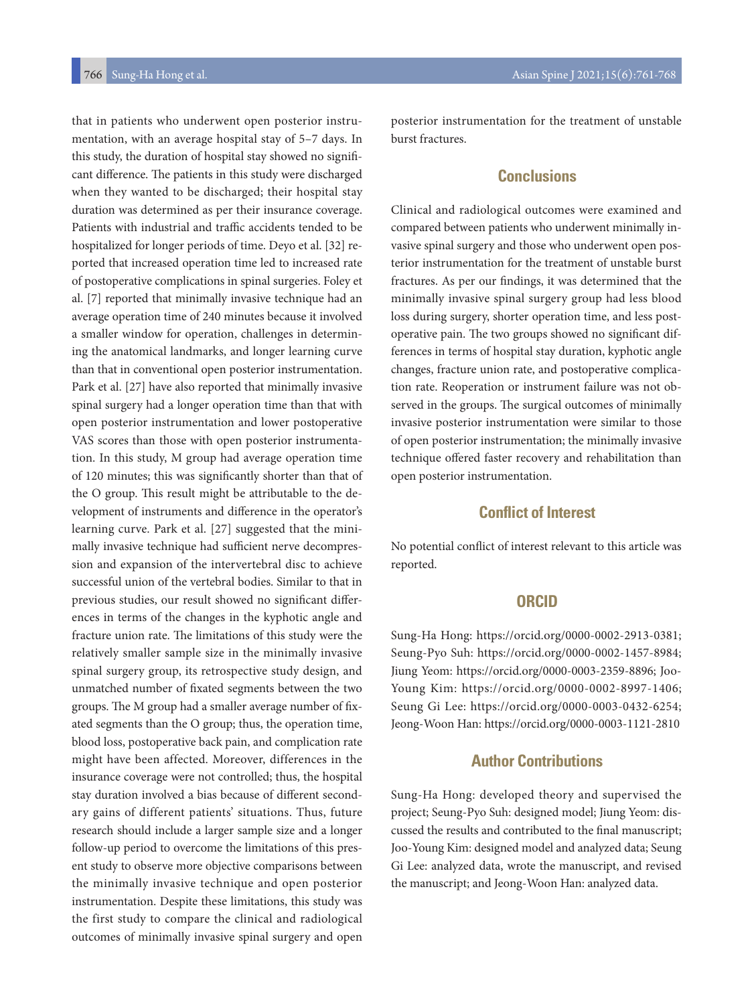that in patients who underwent open posterior instrumentation, with an average hospital stay of 5–7 days. In this study, the duration of hospital stay showed no significant difference. The patients in this study were discharged when they wanted to be discharged; their hospital stay duration was determined as per their insurance coverage. Patients with industrial and traffic accidents tended to be hospitalized for longer periods of time. Deyo et al. [32] reported that increased operation time led to increased rate of postoperative complications in spinal surgeries. Foley et al. [7] reported that minimally invasive technique had an average operation time of 240 minutes because it involved a smaller window for operation, challenges in determining the anatomical landmarks, and longer learning curve than that in conventional open posterior instrumentation. Park et al. [27] have also reported that minimally invasive spinal surgery had a longer operation time than that with open posterior instrumentation and lower postoperative VAS scores than those with open posterior instrumentation. In this study, M group had average operation time of 120 minutes; this was significantly shorter than that of the O group. This result might be attributable to the development of instruments and difference in the operator's learning curve. Park et al. [27] suggested that the minimally invasive technique had sufficient nerve decompression and expansion of the intervertebral disc to achieve successful union of the vertebral bodies. Similar to that in previous studies, our result showed no significant differences in terms of the changes in the kyphotic angle and fracture union rate. The limitations of this study were the relatively smaller sample size in the minimally invasive spinal surgery group, its retrospective study design, and unmatched number of fixated segments between the two groups. The M group had a smaller average number of fixated segments than the O group; thus, the operation time, blood loss, postoperative back pain, and complication rate might have been affected. Moreover, differences in the insurance coverage were not controlled; thus, the hospital stay duration involved a bias because of different secondary gains of different patients' situations. Thus, future research should include a larger sample size and a longer follow-up period to overcome the limitations of this present study to observe more objective comparisons between the minimally invasive technique and open posterior instrumentation. Despite these limitations, this study was the first study to compare the clinical and radiological outcomes of minimally invasive spinal surgery and open

posterior instrumentation for the treatment of unstable burst fractures.

## **Conclusions**

Clinical and radiological outcomes were examined and compared between patients who underwent minimally invasive spinal surgery and those who underwent open posterior instrumentation for the treatment of unstable burst fractures. As per our findings, it was determined that the minimally invasive spinal surgery group had less blood loss during surgery, shorter operation time, and less postoperative pain. The two groups showed no significant differences in terms of hospital stay duration, kyphotic angle changes, fracture union rate, and postoperative complication rate. Reoperation or instrument failure was not observed in the groups. The surgical outcomes of minimally invasive posterior instrumentation were similar to those of open posterior instrumentation; the minimally invasive technique offered faster recovery and rehabilitation than open posterior instrumentation.

# **Conflict of Interest**

No potential conflict of interest relevant to this article was reported.

### **ORCID**

Sung-Ha Hong: https://orcid.org/0000-0002-2913-0381; Seung-Pyo Suh: https://orcid.org/0000-0002-1457-8984; Jiung Yeom: https://orcid.org/0000-0003-2359-8896; Joo-Young Kim: https://orcid.org/0000-0002-8997-1406; Seung Gi Lee: https://orcid.org/0000-0003-0432-6254; Jeong-Woon Han: https://orcid.org/0000-0003-1121-2810

## **Author Contributions**

Sung-Ha Hong: developed theory and supervised the project; Seung-Pyo Suh: designed model; Jiung Yeom: discussed the results and contributed to the final manuscript; Joo-Young Kim: designed model and analyzed data; Seung Gi Lee: analyzed data, wrote the manuscript, and revised the manuscript; and Jeong-Woon Han: analyzed data.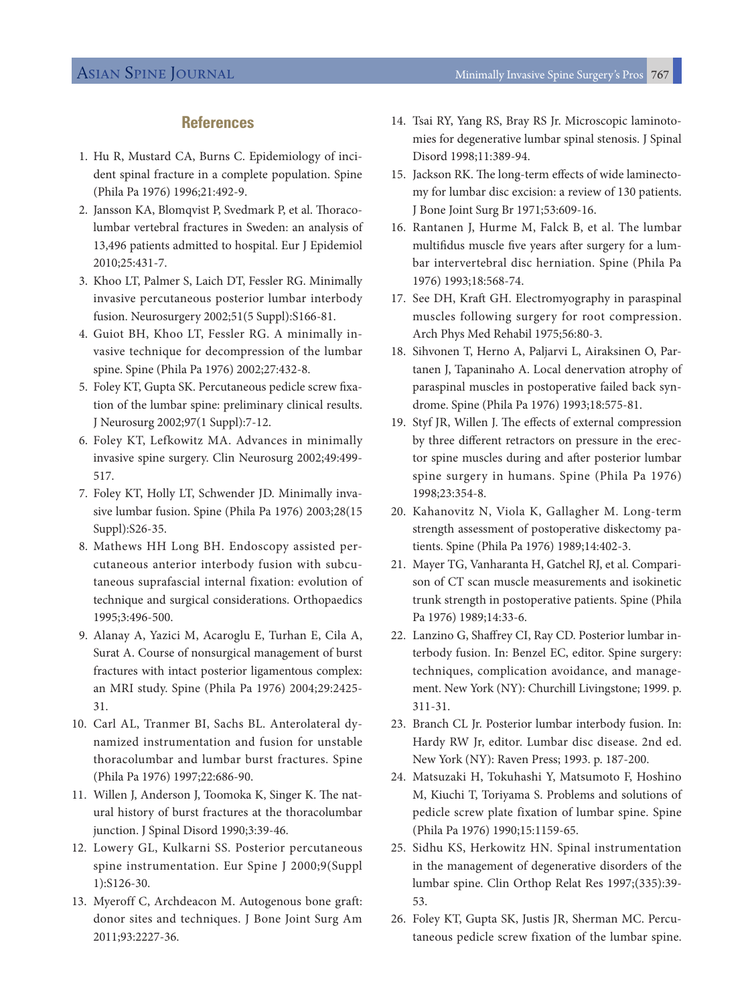## **References**

- 1. Hu R, Mustard CA, Burns C. Epidemiology of incident spinal fracture in a complete population. Spine (Phila Pa 1976) 1996;21:492-9.
- 2. Jansson KA, Blomqvist P, Svedmark P, et al. Thoracolumbar vertebral fractures in Sweden: an analysis of 13,496 patients admitted to hospital. Eur J Epidemiol 2010;25:431-7.
- 3. Khoo LT, Palmer S, Laich DT, Fessler RG. Minimally invasive percutaneous posterior lumbar interbody fusion. Neurosurgery 2002;51(5 Suppl):S166-81.
- 4. Guiot BH, Khoo LT, Fessler RG. A minimally invasive technique for decompression of the lumbar spine. Spine (Phila Pa 1976) 2002;27:432-8.
- 5. Foley KT, Gupta SK. Percutaneous pedicle screw fixation of the lumbar spine: preliminary clinical results. J Neurosurg 2002;97(1 Suppl):7-12.
- 6. Foley KT, Lefkowitz MA. Advances in minimally invasive spine surgery. Clin Neurosurg 2002;49:499- 517.
- 7. Foley KT, Holly LT, Schwender JD. Minimally invasive lumbar fusion. Spine (Phila Pa 1976) 2003;28(15 Suppl):S26-35.
- 8. Mathews HH Long BH. Endoscopy assisted percutaneous anterior interbody fusion with subcutaneous suprafascial internal fixation: evolution of technique and surgical considerations. Orthopaedics 1995;3:496-500.
- 9. Alanay A, Yazici M, Acaroglu E, Turhan E, Cila A, Surat A. Course of nonsurgical management of burst fractures with intact posterior ligamentous complex: an MRI study. Spine (Phila Pa 1976) 2004;29:2425- 31.
- 10. Carl AL, Tranmer BI, Sachs BL. Anterolateral dynamized instrumentation and fusion for unstable thoracolumbar and lumbar burst fractures. Spine (Phila Pa 1976) 1997;22:686-90.
- 11. Willen J, Anderson J, Toomoka K, Singer K. The natural history of burst fractures at the thoracolumbar junction. J Spinal Disord 1990;3:39-46.
- 12. Lowery GL, Kulkarni SS. Posterior percutaneous spine instrumentation. Eur Spine J 2000;9(Suppl 1):S126-30.
- 13. Myeroff C, Archdeacon M. Autogenous bone graft: donor sites and techniques. J Bone Joint Surg Am 2011;93:2227-36.
- 14. Tsai RY, Yang RS, Bray RS Jr. Microscopic laminotomies for degenerative lumbar spinal stenosis. J Spinal Disord 1998;11:389-94.
- 15. Jackson RK. The long-term effects of wide laminectomy for lumbar disc excision: a review of 130 patients. J Bone Joint Surg Br 1971;53:609-16.
- 16. Rantanen J, Hurme M, Falck B, et al. The lumbar multifidus muscle five years after surgery for a lumbar intervertebral disc herniation. Spine (Phila Pa 1976) 1993;18:568-74.
- 17. See DH, Kraft GH. Electromyography in paraspinal muscles following surgery for root compression. Arch Phys Med Rehabil 1975;56:80-3.
- 18. Sihvonen T, Herno A, Paljarvi L, Airaksinen O, Partanen J, Tapaninaho A. Local denervation atrophy of paraspinal muscles in postoperative failed back syndrome. Spine (Phila Pa 1976) 1993;18:575-81.
- 19. Styf JR, Willen J. The effects of external compression by three different retractors on pressure in the erector spine muscles during and after posterior lumbar spine surgery in humans. Spine (Phila Pa 1976) 1998;23:354-8.
- 20. Kahanovitz N, Viola K, Gallagher M. Long-term strength assessment of postoperative diskectomy patients. Spine (Phila Pa 1976) 1989;14:402-3.
- 21. Mayer TG, Vanharanta H, Gatchel RJ, et al. Comparison of CT scan muscle measurements and isokinetic trunk strength in postoperative patients. Spine (Phila Pa 1976) 1989;14:33-6.
- 22. Lanzino G, Shaffrey CI, Ray CD. Posterior lumbar interbody fusion. In: Benzel EC, editor. Spine surgery: techniques, complication avoidance, and management. New York (NY): Churchill Livingstone; 1999. p. 311-31.
- 23. Branch CL Jr. Posterior lumbar interbody fusion. In: Hardy RW Jr, editor. Lumbar disc disease. 2nd ed. New York (NY): Raven Press; 1993. p. 187-200.
- 24. Matsuzaki H, Tokuhashi Y, Matsumoto F, Hoshino M, Kiuchi T, Toriyama S. Problems and solutions of pedicle screw plate fixation of lumbar spine. Spine (Phila Pa 1976) 1990;15:1159-65.
- 25. Sidhu KS, Herkowitz HN. Spinal instrumentation in the management of degenerative disorders of the lumbar spine. Clin Orthop Relat Res 1997;(335):39- 53.
- 26. Foley KT, Gupta SK, Justis JR, Sherman MC. Percutaneous pedicle screw fixation of the lumbar spine.